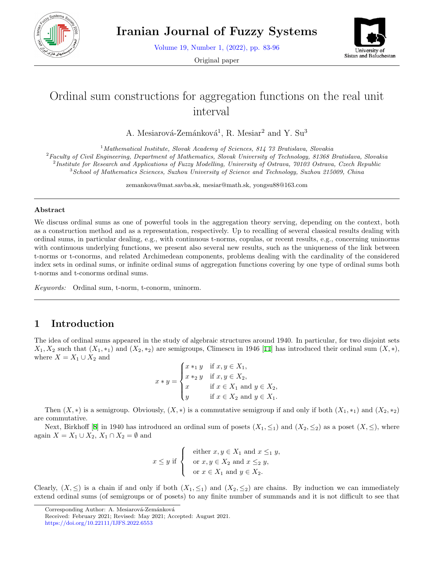

Volume 19, Number 1, (2022), pp. 83-96

Original paper



# Ordinal sum constructions for aggregation functions on the real unit interval

A. Mesiarová-Zemánková<sup>1</sup>, R. Mesiar<sup>2</sup> and Y. Su<sup>3</sup>

*Mathematical Institute, Slovak Academy of Sciences, 814 73 Bratislava, Slovakia Faculty of Civil Engineering, Department of Mathematics, Slovak University of Technology, 81368 Bratislava, Slovakia Institute for Research and Applications of Fuzzy Modelling, University of Ostrava, 70103 Ostrava, Czech Republic School of Mathematics Sciences, Suzhou University of Science and Technology, Suzhou 215009, China*

zemankova@mat.savba.sk, mesiar@math.sk, yongsu88@163.com

#### **Abstract**

We discuss ordinal sums as one of powerful tools in the aggregation theory serving, depending on the context, both as a construction method and as a representation, respectively. Up to recalling of several classical results dealing with ordinal sums, in particular dealing, e.g., with continuous t-norms, copulas, or recent results, e.g., concerning uninorms with continuous underlying functions, we present also several new results, such as the uniqueness of the link between t-norms or t-conorms, and related Archimedean components, problems dealing with the cardinality of the considered index sets in ordinal sums, or infinite ordinal sums of aggregation functions covering by one type of ordinal sums both t-norms and t-conorms ordinal sums.

*Keywords:* Ordinal sum, t-norm, t-conorm, uninorm.

# **1 Introduction**

The idea of ordinal sums appeared in the study of algebraic structures around 1940. In particular, for two disjoint sets  $X_1, X_2$  such that  $(X_1, *_1)$  and  $(X_2, *_2)$  are semigroups, Climescu in 1946 [\[11](#page-12-0)] has introduced their ordinal sum  $(X, *)$ , where  $X = X_1 \cup X_2$  and

$$
x * y = \begin{cases} x *_{1} y & \text{if } x, y \in X_{1}, \\ x *_{2} y & \text{if } x, y \in X_{2}, \\ x & \text{if } x \in X_{1} \text{ and } y \in X_{2}, \\ y & \text{if } x \in X_{2} \text{ and } y \in X_{1}. \end{cases}
$$

Then  $(X, *)$  is a semigroup. Obviously,  $(X, *)$  is a commutative semigroup if and only if both  $(X_1, *)$  and  $(X_2, *_2)$ are commutative.

Next, Birkhoff [[8\]](#page-12-1) in 1940 has introduced an ordinal sum of posets  $(X_1, \leq_1)$  and  $(X_2, \leq_2)$  as a poset  $(X, \leq)$ , where again  $X = X_1 \cup X_2, X_1 \cap X_2 = \emptyset$  and

$$
x \le y \text{ if } \begin{cases} \text{ either } x, y \in X_1 \text{ and } x \le_1 y, \\ \text{ or } x, y \in X_2 \text{ and } x \le_2 y, \\ \text{ or } x \in X_1 \text{ and } y \in X_2. \end{cases}
$$

Clearly,  $(X, \leq)$  is a chain if and only if both  $(X_1, \leq_1)$  and  $(X_2, \leq_2)$  are chains. By induction we can immediately extend ordinal sums (of semigroups or of posets) to any finite number of summands and it is not difficult to see that

Corresponding Author: A. Mesiarová-Zemánková

Received: February 2021; Revised: May 2021; Accepted: August 2021. https://doi.org/10.22111/IJFS.2022.6553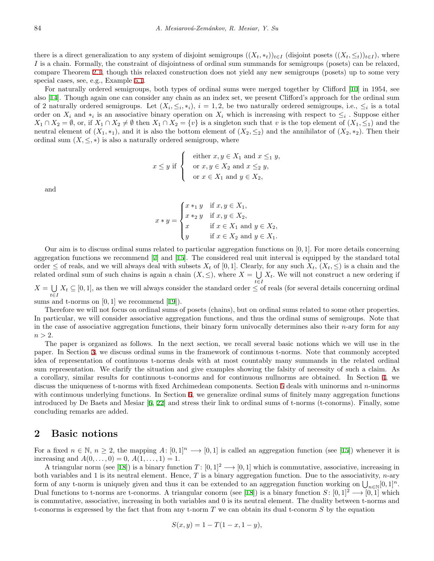there is a direct generalization to any system of disjoint semigroups  $((X_t, *_t))_{t\in I}$  (disjoint posets  $((X_t, \leq_t))_{t\in I}$ ), where *I* is a chain. Formally, the constraint of disjointness of ordinal sum summands for semigroups (posets) can be relaxed, compare Theorem [2.1,](#page-2-0) though this relaxed construction does not yield any new semigroups (posets) up to some very special cases, see, e.g., Example [5.1](#page-8-0).

For naturally ordered semigroups, both types of ordinal sums were merged together by Clifford [[10\]](#page-12-2) in 1954, see also [[14\]](#page-12-3). Though again one can consider any chain as an index set, we present Clifford's approach for the ordinal sum of 2 naturally ordered semigroups. Let  $(X_i, \leq_i, *_i), i = 1, 2$ , be two naturally ordered semigroups, i.e.,  $\leq_i$  is a total order on  $X_i$  and  $*_i$  is an associative binary operation on  $X_i$  which is increasing with respect to  $\leq_i$ . Suppose either  $X_1 \cap X_2 = \emptyset$ , or, if  $X_1 \cap X_2 \neq \emptyset$  then  $X_1 \cap X_2 = \{v\}$  is a singleton such that v is the top element of  $(X_1, \leq_1)$  and the neutral element of  $(X_1, *_1)$ , and it is also the bottom element of  $(X_2, \leq_2)$  and the annihilator of  $(X_2, *_2)$ . Then their ordinal sum  $(X, \leq, *)$  is also a naturally ordered semigroup, where

$$
x \le y \text{ if } \begin{cases} \text{ either } x, y \in X_1 \text{ and } x \le_1 y, \\ \text{ or } x, y \in X_2 \text{ and } x \le_2 y, \\ \text{ or } x \in X_1 \text{ and } y \in X_2, \end{cases}
$$

and

$$
x * y = \begin{cases} x *_{1} y & \text{if } x, y \in X_{1}, \\ x *_{2} y & \text{if } x, y \in X_{2}, \\ x & \text{if } x \in X_{1} \text{ and } y \in X_{2}, \\ y & \text{if } x \in X_{2} \text{ and } y \in X_{1}. \end{cases}
$$

Our aim is to discuss ordinal sums related to particular aggregation functions on [0*,* 1]*.* For more details concerning aggregation functions we recommend [\[7](#page-11-0)] and [[15\]](#page-12-4). The considered real unit interval is equipped by the standard total order  $\leq$  of reals, and we will always deal with subsets  $X_t$  of [0,1]. Clearly, for any such  $X_t$ ,  $(X_t, \leq)$  is a chain and the related ordinal sum of such chains is again a chain  $(X, \leq)$ , where  $X = \bigcup X_t$ . We will not construct a new ordering if *t∈I*  $X = \bigcup X_t \subseteq [0,1]$ , as then we will always consider the standard order  $\leq$  of reals (for several details concerning ordinal

sums and t-norms on [0*,* 1] we recommend [\[19](#page-12-5)]).

Therefore we will not focus on ordinal sums of posets (chains), but on ordinal sums related to some other properties. In particular, we will consider associative aggregation functions, and thus the ordinal sums of semigroups. Note that in the case of associative aggregation functions, their binary form univocally determines also their *n*-ary form for any  $n > 2$ .

The paper is organized as follows. In the next section, we recall several basic notions which we will use in the paper. In Section [3](#page-4-0), we discuss ordinal sums in the framework of continuous t-norms. Note that commonly accepted idea of representation of continuous t-norms deals with at most countably many summands in the related ordinal sum representation. We clarify the situation and give examples showing the falsity of necessity of such a claim. As a corollary, similar results for continuous t-conorms and for continuous nullnorms are obtained. In Section [4,](#page-6-0) we discuss the uniqueness of t-norms with fixed Archimedean components. Section [5](#page-8-1) deals with uninorms and *n*-uninorms with continuous underlying functions. In Section [6](#page-10-0), we generalize ordinal sums of finitely many aggregation functions introduced by De Baets and Mesiar [[6,](#page-11-1) [22](#page-12-6)] and stress their link to ordinal sums of t-norms (t-conorms). Finally, some concluding remarks are added.

### **2 Basic notions**

For a fixed  $n \in \mathbb{N}$ ,  $n \geq 2$ , the mapping  $A: [0,1]^n \longrightarrow [0,1]$  is called an aggregation function (see [[15](#page-12-4)]) whenever it is increasing and  $A(0, \ldots, 0) = 0, A(1, \ldots, 1) = 1.$ 

A triangular norm (see [[18\]](#page-12-7)) is a binary function  $T: [0,1]^2 \longrightarrow [0,1]$  which is commutative, associative, increasing in both variables and 1 is its neutral element. Hence, *T* is a binary aggregation function. Due to the associativity, *n*-ary form of any t-norm is uniquely given and thus it can be extended to an aggregation function working on  $\bigcup_{n \in \mathbb{N}} [0,1]^n$ . Dual functions to t-norms are t-conorms. A triangular conorm (see [[18](#page-12-7)]) is a binary function *S* : [0,1]<sup>2</sup>  $\rightarrow$  [0,1] which is commutative, associative, increasing in both variables and 0 is its neutral element. The duality between t-norms and t-conorms is expressed by the fact that from any t-norm *T* we can obtain its dual t-conorm *S* by the equation

$$
S(x, y) = 1 - T(1 - x, 1 - y),
$$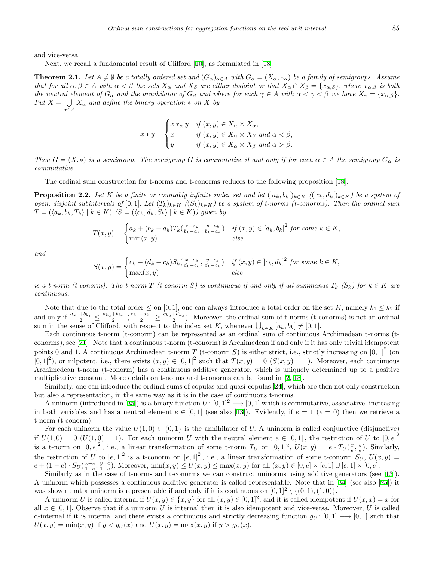and vice-versa.

Next, we recall a fundamental result of Clifford [[10](#page-12-2)], as formulated in [\[18](#page-12-7)].

<span id="page-2-0"></span>**Theorem 2.1.** Let  $A \neq \emptyset$  be a totally ordered set and  $(G_{\alpha})_{\alpha \in A}$  with  $G_{\alpha} = (X_{\alpha}, *_{\alpha})$  be a family of semigroups. Assume that for all  $\alpha, \beta \in A$  with  $\alpha < \beta$  the sets  $X_{\alpha}$  and  $X_{\beta}$  are either disjoint or that  $X_{\alpha} \cap X_{\beta} = \{x_{\alpha,\beta}\}\$ , where  $x_{\alpha,\beta}$  is both the neutral element of  $G_{\alpha}$  and the annihilator of  $G_{\beta}$  and where for each  $\gamma \in A$  with  $\alpha < \gamma < \beta$  we have  $X_{\gamma} = \{x_{\alpha,\beta}\}.$ *Put*  $X = \bigcup X_\alpha$  *and define the binary operation*  $*$  *on*  $X$  *by α∈A*

$$
x * y = \begin{cases} x *_{\alpha} y & \text{if } (x, y) \in X_{\alpha} \times X_{\alpha}, \\ x & \text{if } (x, y) \in X_{\alpha} \times X_{\beta} \text{ and } \alpha < \beta, \\ y & \text{if } (x, y) \in X_{\alpha} \times X_{\beta} \text{ and } \alpha > \beta. \end{cases}
$$

*Then*  $G = (X, *)$  *is a semigroup. The semigroup G is commutative if and only if for each*  $\alpha \in A$  *the semigroup*  $G_{\alpha}$  *is commutative.*

The ordinal sum construction for t-norms and t-conorms reduces to the following proposition [[18\]](#page-12-7).

<span id="page-2-1"></span>**Proposition 2.2.** Let K be a finite or countably infinite index set and let  $(|a_k, b_k|)_{k \in K}$   $(|c_k, d_k|)_{k \in K}$  be a system of open, disjoint subintervals of [0,1]. Let  $(T_k)_{k\in K}$   $((S_k)_{k\in K})$  be a system of t-norms (t-conorms). Then the ordinal sum  $T = (\langle a_k, b_k, T_k \rangle \mid k \in K)$   $(S = (\langle c_k, d_k, S_k \rangle \mid k \in K))$  given by

$$
T(x,y) = \begin{cases} a_k + (b_k - a_k) T_k(\frac{x - a_k}{b_k - a_k}, \frac{y - a_k}{b_k - a_k}) & \text{if } (x,y) \in [a_k, b_k]^2 \text{ for some } k \in K, \\ \min(x,y) & \text{else} \end{cases}
$$

*and*

$$
S(x,y) = \begin{cases} c_k + (d_k - c_k)S_k(\frac{x - c_k}{d_k - c_k}, \frac{y - c_k}{d_k - c_k}) & \text{if } (x,y) \in ]c_k, d_k]^2 \text{ for some } k \in K, \\ \max(x,y) & \text{else} \end{cases}
$$

*is a t-norm (t-conorm). The t-norm*  $T$  (*t-conorm*  $S$ ) is continuous if and only if all summands  $T_k$  ( $S_k$ ) for  $k \in K$  are *continuous.*

Note that due to the total order  $\leq$  on [0, 1], one can always introduce a total order on the set *K*, namely  $k_1 \leq k_2$  if and only if  $\frac{a_{k_1}+b_{k_1}}{2} \le \frac{a_{k_2}+b_{k_2}}{2}$   $(\frac{c_{k_1}+d_{k_1}}{2} \ge \frac{c_{k_2}+d_{k_2}}{2})$ . Moreover, the ordinal sum of t-norms (t-conorms) is not an ordinal sum in the sense of Clifford, with respect to the index set *K*, whenever  $\bigcup_{k \in K} [a_k, b_k] \neq [0, 1]$ *.* 

Each continuous t-norm (t-conorm) can be represented as an ordinal sum of continuous Archimedean t-norms (tconorms), see [[21\]](#page-12-8). Note that a continuous t-norm (t-conorm) is Archimedean if and only if it has only trivial idempotent points 0 and 1. A continuous Archimedean t-norm  $T$  (t-conorm  $S$ ) is either strict, i.e., strictly increasing on  $]0,1]^2$  (on [0,1<sup>2</sup>), or nilpotent, i.e., there exists  $(x, y) \in [0, 1]^2$  such that  $T(x, y) = 0$   $(S(x, y) = 1)$ . Moreover, each continuous Archimedean t-norm (t-conorm) has a continuous additive generator, which is uniquely determined up to a positive multiplicative constant. More details on t-norms and t-conorms can be found in [[2,](#page-11-2) [18\]](#page-12-7).

Similarly, one can introduce the ordinal sums of copulas and quasi-copulas [[24\]](#page-12-9), which are then not only construction but also a representation, in the same way as it is in the case of continuous t-norms.

A uninorm (introduced in [[35\]](#page-13-0)) is a binary function  $U: [0,1]^2 \longrightarrow [0,1]$  which is commutative, associative, increasing in both variables and has a neutral element  $e \in [0,1]$  (see also [[13\]](#page-12-10)). Evidently, if  $e = 1$  ( $e = 0$ ) then we retrieve a t-norm (t-conorm).

For each uninorm the value  $U(1,0) \in \{0,1\}$  is the annihilator of *U*. A uninorm is called conjunctive (disjunctive) if  $U(1,0) = 0$  ( $U(1,0) = 1$ ). For each uninorm *U* with the neutral element  $e \in [0,1]$ , the restriction of *U* to  $[0,e]^2$ is a t-norm on  $[0,e]^2$ , i.e., a linear transformation of some t-norm  $T_U$  on  $[0,1]^2$ ,  $U(x,y) = e \cdot T_U(\frac{x}{e}, \frac{y}{e})$ . Similarly, is a v-norm on [0, c], i.e., a linear transformation of some v-norm  $I_U$  on  $[0,1]$ ,  $C(x,y) = C^{-1}I_U(\frac{1}{e},\frac{1}{e})$ . Similarly,<br>the restriction of *U* to  $[e,1]^2$  is a t-conorm on  $[e,1]^2$ , i.e., a linear transformation of som  $e + (1-e) \cdot S_U(\frac{x-e}{1-e}, \frac{y-e}{1-e})$ . Moreover,  $\min(x, y) \leq U(x, y) \leq \max(x, y)$  for all  $(x, y) \in [0, e] \times [e, 1] \cup [e, 1] \times [0, e]$ .

Similarly as in the case of t-norms and t-conorms we can construct uninorms using additive generators (see [\[13](#page-12-10)]). A uninorm which possesses a continuous additive generator is called representable. Note that in [\[34](#page-13-1)] (see also [[25\]](#page-12-11)) it was shown that a uninorm is representable if and only if it is continuous on  $[0,1]^2 \setminus \{(0,1), (1,0)\}$ .

A uninorm *U* is called internal if  $U(x, y) \in \{x, y\}$  for all  $(x, y) \in [0, 1]^2$ ; and it is called idempotent if  $U(x, x) = x$  for all  $x \in [0, 1]$ . Observe that if a uninorm U is internal then it is also idempotent and vice-versa. Moreover, U is called d-internal if it is internal and there exists a continuous and strictly decreasing function  $g_U: [0,1] \rightarrow [0,1]$  such that  $U(x, y) = \min(x, y)$  if  $y < g_U(x)$  and  $U(x, y) = \max(x, y)$  if  $y > g_U(x)$ .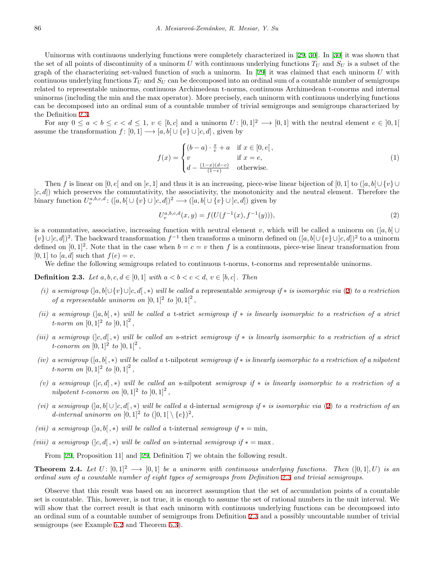Uninorms with continuous underlying functions were completely characterized in [[29](#page-12-12), [30](#page-12-13)]. In [[30\]](#page-12-13) it was shown that the set of all points of discontinuity of a uninorm *U* with continuous underlying functions  $T_U$  and  $S_U$  is a subset of the graph of the characterizing set-valued function of such a uninorm. In [[29](#page-12-12)] it was claimed that each uninorm *U* with continuous underlying functions  $T_U$  and  $S_U$  can be decomposed into an ordinal sum of a countable number of semigroups related to representable uninorms, continuous Archimedean t-norms, continuous Archimedean t-conorms and internal uninorms (including the min and the max operator). More precisely, each uninorm with continuous underlying functions can be decomposed into an ordinal sum of a countable number of trivial semigroups and semigroups characterized by the Definition [2.3](#page-3-0).

For any  $0 \le a < b \le c < d \le 1$ ,  $v \in [b, c]$  and a uninorm  $U: [0, 1]^2 \longrightarrow [0, 1]$  with the neutral element  $e \in [0, 1]$ assume the transformation  $f : [0,1] \longrightarrow [a, b] \cup \{v\} \cup [c, d]$ , given by

<span id="page-3-2"></span>
$$
f(x) = \begin{cases} (b-a) \cdot \frac{x}{e} + a & \text{if } x \in [0, e[, \\ v & \text{if } x = e, \\ d - \frac{(1-x)(d-c)}{(1-e)} & \text{otherwise.} \end{cases}
$$
(1)

Then *f* is linear on [0, e] and on  $|e, 1|$  and thus it is an increasing, piece-wise linear bijection of [0, 1] to ([a, b[∪ {*v*}∪ ]*c, d*]) which preserves the commutativity, the associativity, the monotonicity and the neutral element. Therefore the binary function  $U_v^{a,b,c,d}$ :  $([a, b[ \cup \{v\} \cup [c, d])^2 \longrightarrow ([a, b[ \cup \{v\} \cup [c, d])$  given by

<span id="page-3-1"></span>
$$
U_v^{a,b,c,d}(x,y) = f(U(f^{-1}(x), f^{-1}(y))),
$$
\n(2)

is a commutative, associative, increasing function with neutral element *v*, which will be called a uninorm on  $([a, b] \cup$ *{v}*∪]*c, d*])<sup>2</sup>. The backward transformation  $f^{-1}$  then transforms a uninorm defined on  $([a, b[∪{v}bracecup]c, d])^2$  to a uninorm defined on  $[0,1]^2$ . Note that in the case when  $b = c = v$  then f is a continuous, piece-wise linear transformation from  $[0, 1]$  to  $[a, d]$  such that  $f(e) = v$ .

We define the following semigroups related to continuous t-norms, t-conorms and representable uninorms.

<span id="page-3-0"></span>**Definition 2.3.** *Let*  $a, b, c, d \in [0, 1]$  *with*  $a < b < c < d$ ,  $v \in [b, c]$ . *Then* 

- *(i) a semigroup* (]*a, b*[*∪{v}∪*]*c, d*[ *, ∗*) *will be called a* representable *semigroup if ∗ is isomorphic via* [\(2](#page-3-1)) *to a restriction of a representable uninorm on*  $[0,1]^2$  *to*  $[0,1]^2$ ,
- *(ii) a semigroup* (]*a, b*[ *, ∗*) *will be called a* t-strict *semigroup if ∗ is linearly isomorphic to a restriction of a strict t*-norm on  $[0,1]^2$  to  $[0,1]^2$ ,
- *(iii) a semigroup* (]*c, d*[ *, ∗*) *will be called an* s-strict *semigroup if ∗ is linearly isomorphic to a restriction of a strict t*-conorm on  $[0,1]^2$  to  $[0,1]^2$ ,
- *(iv) a semigroup* ([*a, b*[ *, ∗*) *will be called a* t-nilpotent *semigroup if ∗ is linearly isomorphic to a restriction of a nilpotent t*-norm on  $[0, 1]^2$  *to*  $[0, 1]^2$ ,
- *(v) a semigroup* (]*c, d*] *, ∗*) *will be called an* s-nilpotent *semigroup if ∗ is linearly isomorphic to a restriction of a nilpotent t-conorm on*  $[0, 1]^2$  *to*  $[0, 1]^2$ ,
- *(vi) a semigroup* (]*a, b*[ *∪* ]*c, d*[ *, ∗*) *will be called a* d-internal *semigroup if ∗ is isomorphic via* ([2\)](#page-3-1) *to a restriction of an d*-internal uninorm on  $[0,1]^2$  to  $([0,1[ \setminus \{e\})^2,$
- *(vii) a semigroup*  $(|a, b|, *)$  *will be called a t*-internal *semigroup if*  $* = \min$ ,
- *(viii) a semigroup*  $(|c, d|, *)$  *will be called an s*-internal *semigroup* if  $* = \max$ .

From [\[29](#page-12-12), Proposition 11] and [[29,](#page-12-12) Definition 7] we obtain the following result.

**Theorem 2.4.** *Let*  $U: [0,1]^2 \longrightarrow [0,1]$  *be a uninorm with continuous underlying functions. Then*  $([0,1], U)$  *is an ordinal sum of a countable number of eight types of semigroups from Definition [2.3](#page-3-0) and trivial semigroups.*

Observe that this result was based on an incorrect assumption that the set of accumulation points of a countable set is countable. This, however, is not true, it is enough to assume the set of rational numbers in the unit interval. We will show that the correct result is that each uninorm with continuous underlying functions can be decomposed into an ordinal sum of a countable number of semigroups from Definition [2.3](#page-3-0) and a possibly uncountable number of trivial semigroups (see Example [5.2](#page-8-2) and Theorem [5.3](#page-9-0)).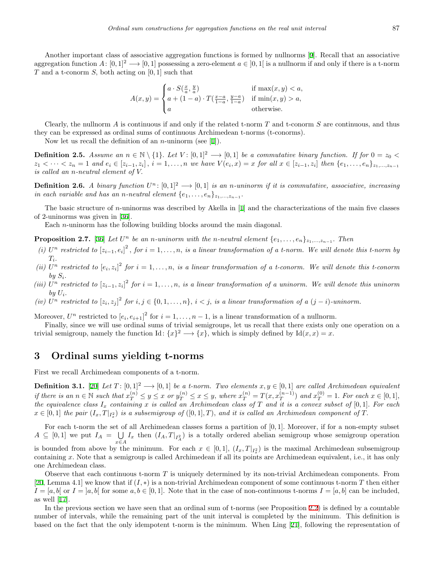Another important class of associative aggregation functions is formed by nullnorms [[9\]](#page-12-14). Recall that an associative aggregation function  $A: [0,1]^2 \longrightarrow [0,1]$  possessing a zero-element  $a \in [0,1]$  is a nullnorm if and only if there is a t-norm *T* and a t-conorm *S,* both acting on [0*,* 1] such that

$$
A(x,y) = \begin{cases} a \cdot S(\frac{x}{a}, \frac{y}{a}) & \text{if } \max(x,y) < a, \\ a + (1-a) \cdot T(\frac{x-a}{1-a}, \frac{y-a}{1-a}) & \text{if } \min(x,y) > a, \\ a & \text{otherwise.} \end{cases}
$$

Clearly, the nullnorm *A* is continuous if and only if the related t-norm *T* and t-conorm *S* are continuous, and thus they can be expressed as ordinal sums of continuous Archimedean t-norms (t-conorms).

Now let us recall the definition of an *n*-uninorm (see [\[1](#page-11-3)]).

**Definition 2.5.** Assume an  $n \in \mathbb{N} \setminus \{1\}$ . Let  $V : [0,1]^2 \longrightarrow [0,1]$  be a commutative binary function. If for  $0 = z_0$  $z_1 < \cdots < z_n = 1$  and  $e_i \in [z_{i-1}, z_i], i = 1, \ldots, n$  we have  $V(e_i, x) = x$  for all  $x \in [z_{i-1}, z_i]$  then  $\{e_1, \ldots, e_n\}_{z_1, \ldots, z_{n-1}}$ *is called an n-neutral element of V.*

**Definition 2.6.** *A binary function*  $U^n: [0,1]^2 \longrightarrow [0,1]$  *is an n*-uninorm if it is commutative, associative, increasing *in each variable and has an <i>n*-neutral element  $\{e_1, \ldots, e_n\}_{z_1, \ldots, z_{n-1}}$ .

The basic structure of *n*-uninorms was described by Akella in [[1\]](#page-11-3) and the characterizations of the main five classes of 2-uninorms was given in [\[36](#page-13-2)].

Each *n*-uninorm has the following building blocks around the main diagonal.

**Proposition 2.7.** [[36\]](#page-13-2) Let  $U^n$  be an n-uninorm with the n-neutral element  $\{e_1, \ldots, e_n\}_{z_1,\ldots,z_{n-1}}$ . Then

- (i)  $U^n$  restricted to  $[z_{i-1}, e_i]^2$ , for  $i = 1, ..., n$ , is a linear transformation of a t-norm. We will denote this t-norm by *Ti .*
- *(ii)*  $U^n$  restricted to  $[e_i, z_i]^2$  for  $i = 1, \ldots, n$ , is a linear transformation of a t-conorm. We will denote this t-conorm  $by S_i$ .
- *(iii)*  $U^n$  restricted to  $[z_{i-1}, z_i]^2$  for  $i = 1, ..., n$ , is a linear transformation of a uninorm. We will denote this uninorm  $by U_i$ .
- (iv)  $U^n$  restricted to  $[z_i, z_j]^2$  for  $i, j \in \{0, 1, ..., n\}, i < j$ , is a linear transformation of a  $(j i)$ -uninorm.

Moreover,  $U^n$  restricted to  $[e_i, e_{i+1}]^2$  for  $i = 1, \ldots, n-1$ , is a linear transformation of a nullnorm.

Finally, since we will use ordinal sums of trivial semigroups, let us recall that there exists only one operation on a trivial semigroup, namely the function Id:  $\{x\}^2 \longrightarrow \{x\}$ , which is simply defined by Id $(x, x) = x$ .

# <span id="page-4-0"></span>**3 Ordinal sums yielding t-norms**

First we recall Archimedean components of a t-norm.

**Definition 3.1.** [\[20](#page-12-15)] *Let*  $T: [0,1]^2 \longrightarrow [0,1]$  *be a t-norm. Two elements*  $x, y \in [0,1]$  *are called Archimedean equivalent* if there is an  $n \in \mathbb{N}$  such that  $x_T^{(n)} \leq y \leq x$  or  $y_T^{(n)} \leq x \leq y$ , where  $x_T^{(n)} = T(x, x_T^{(n-1)})$  and  $x_T^{(0)} = 1$ . For each  $x \in [0,1]$ , *the equivalence class I<sup>x</sup> containing x is called an Archimedean class of T and it is a convex subset of* [0*,* 1]*. For each*  $x \in [0,1]$  the pair  $(I_x, T|_{I_x^2})$  is a subsemigroup of  $([0,1],T)$ , and it is called an Archimedean component of T.

For each t-norm the set of all Archimedean classes forms a partition of [0*,* 1]*.* Moreover, if for a non-empty subset  $A \subseteq [0,1]$  we put  $I_A = \bigcup$ *x∈A*  $I_x$  then  $(I_A, T|_{I_A^2})$  is a totally ordered abelian semigroup whose semigroup operation is bounded from above by the minimum. For each  $x \in [0,1]$ ,  $(I_x, T|_{I_x^2})$  is the maximal Archimedean subsemigroup containing *x.* Note that a semigroup is called Archimedean if all its points are Archimedean equivalent, i.e., it has only one Archimedean class.

Observe that each continuous t-norm *T* is uniquely determined by its non-trivial Archimedean components. From [[20,](#page-12-15) Lemma 4.1] we know that if (*I, ∗*) is a non-trivial Archimedean component of some continuous t-norm *T* then either  $I = [a, b]$  or  $I = [a, b]$  for some  $a, b \in [0, 1]$ . Note that in the case of non-continuous t-norms  $I = [a, b]$  can be included, as well [\[17](#page-12-16)].

In the previous section we have seen that an ordinal sum of t-norms (see Proposition [2.2\)](#page-2-1) is defined by a countable number of intervals, while the remaining part of the unit interval is completed by the minimum. This definition is based on the fact that the only idempotent t-norm is the minimum. When Ling [[21\]](#page-12-8), following the representation of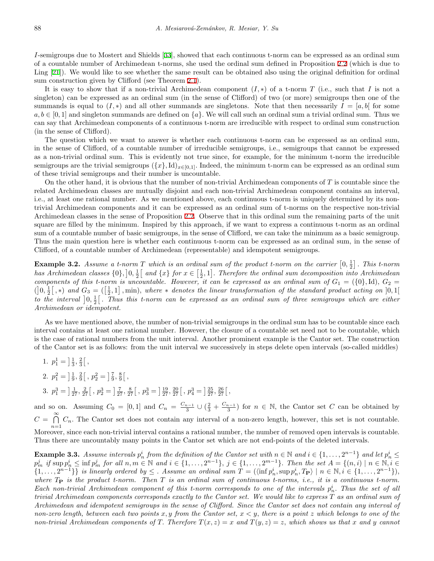*I*-semigroups due to Mostert and Shields [[33\]](#page-13-3), showed that each continuous t-norm can be expressed as an ordinal sum of a countable number of Archimedean t-norms, she used the ordinal sum defined in Proposition [2.2](#page-2-1) (which is due to Ling [[21\]](#page-12-8)). We would like to see whether the same result can be obtained also using the original definition for ordinal sum construction given by Clifford (see Theorem [2.1](#page-2-0)).

It is easy to show that if a non-trivial Archimedean component  $(I, *)$  of a t-norm  $T$  (i.e., such that  $I$  is not a singleton) can be expressed as an ordinal sum (in the sense of Clifford) of two (or more) semigroups then one of the summands is equal to  $(I, *)$  and all other summands are singletons. Note that then necessarily  $I = [a, b]$  for some  $a, b \in [0, 1]$  and singleton summands are defined on  $\{a\}$ . We will call such an ordinal sum a trivial ordinal sum. Thus we can say that Archimedean components of a continuous t-norm are irreducible with respect to ordinal sum construction (in the sense of Clifford).

The question which we want to answer is whether each continuous t-norm can be expressed as an ordinal sum, in the sense of Clifford, of a countable number of irreducible semigroups, i.e., semigroups that cannot be expressed as a non-trivial ordinal sum. This is evidently not true since, for example, for the minimum t-norm the irreducible semigroups are the trivial semigroups  $({x}, d)_{x \in [0,1]}$ . Indeed, the minimum t-norm can be expressed as an ordinal sum of these trivial semigroups and their number is uncountable.

On the other hand, it is obvious that the number of non-trivial Archimedean components of *T* is countable since the related Archimedean classes are mutually disjoint and each non-trivial Archimedean component contains an interval, i.e., at least one rational number. As we mentioned above, each continuous t-norm is uniquely determined by its nontrivial Archimedean components and it can be expressed as an ordinal sum of t-norms on the respective non-trivial Archimedean classes in the sense of Proposition [2.2](#page-2-1). Observe that in this ordinal sum the remaining parts of the unit square are filled by the minimum. Inspired by this approach, if we want to express a continuous t-norm as an ordinal sum of a countable number of basic semigroups, in the sense of Clifford, we can take the minimum as a basic semigroup. Thus the main question here is whether each continuous t-norm can be expressed as an ordinal sum, in the sense of Clifford, of a countable number of Archimedean (representable) and idempotent semigroups.

**Example 3.2.** Assume a t-norm  $T$  which is an ordinal sum of the product t-norm on the carrier  $[0, \frac{1}{2}]$ . This t-norm has Archimedean classes  $\{0\},]0,\frac{1}{2}[$  and  $\{x\}$  for  $x \in [\frac{1}{2},1]$ . Therefore the ordinal sum decomposition into Archimedean *components of this t-norm is uncountable. However, it can be expressed as an ordinal sum of*  $G_1 = (\{0\},\mathrm{Id})$ ,  $G_2 =$  $($  $]$ 0, $\frac{1}{2}$  $[$ ,\*) and  $G_3 = ([\frac{1}{2},1]$ , min), where \* denotes the linear transformation of the standard product acting on  $]0,1[$ to the interval  $]0, \frac{1}{2} [$ . Thus this t-norm can be expressed as an ordinal sum of three semigroups which are either *Archimedean or idempotent.*

As we have mentioned above, the number of non-trivial semigroups in the ordinal sum has to be countable since each interval contains at least one rational number. However, the closure of a countable set need not to be countable, which is the case of rational numbers from the unit interval. Another prominent example is the Cantor set. The construction of the Cantor set is as follows: from the unit interval we successively in steps delete open intervals (so-called middles)

- 1.  $p_1^1 = \frac{1}{3}, \frac{2}{3}$ , 2.  $p_1^2 = \frac{1}{9}, \frac{2}{9}$ ,  $p_2^2 = \frac{7}{9}, \frac{8}{9}$ ,
- 3.  $p_1^3 = \left[\frac{1}{27}, \frac{2}{27}\right[, p_2^3 = \left[\frac{7}{27}, \frac{8}{27}\right[, p_3^3 = \left[\frac{19}{27}, \frac{20}{27}\right[, p_4^3 = \left[\frac{25}{27}, \frac{26}{27}\right[,$

and so on. Assuming  $C_0 = [0,1]$  and  $C_n = \frac{C_{n-1}}{3} \cup (\frac{2}{3} + \frac{C_{n-1}}{3})$  for  $n \in \mathbb{N}$ , the Cantor set *C* can be obtained by *C* = ∩*∞*  $\bigcap_{n=1}$   $C_n$ . The Cantor set does not contain any interval of a non-zero length, however, this set is not countable. Moreover, since each non-trivial interval contains a rational number, the number of removed open intervals is countable. Thus there are uncountably many points in the Cantor set which are not end-points of the deleted intervals.

<span id="page-5-0"></span>**Example 3.3.** Assume intervals  $p_n^i$  from the definition of the Cantor set with  $n \in \mathbb{N}$  and  $i \in \{1, ..., 2^{n-1}\}$  and let  $p_n^i \leq$  $p_m^j$  if  $\sup p_n^i \leq \inf p_m^j$  for all  $n, m \in \mathbb{N}$  and  $i \in \{1, \ldots, 2^{n-1}\}, j \in \{1, \ldots, 2^{m-1}\}.$  Then the set  $A = \{(n, i) \mid n \in \mathbb{N}, i \in \mathbb{N}\}$  $\{1,\ldots,2^{n-1}\}\}\$ is linearly ordered by  $\leq$ . Assume an ordinal sum  $T = (\langle \inf p_n^i, \sup p_n^i, T_{\mathbf{P}} \rangle \mid n \in \mathbb{N}, i \in \{1,\ldots,2^{n-1}\}\)$ , *where T***<sup>P</sup>** *is the product t-norm. Then T is an ordinal sum of continuous t-norms, i.e., it is a continuous t-norm. Each non-trivial Archimedean component of this t-norm corresponds to one of the intervals*  $p_n^i$ . Thus the set of all *trivial Archimedean components corresponds exactly to the Cantor set. We would like to express T as an ordinal sum of Archimedean and idempotent semigroups in the sense of Clifford. Since the Cantor set does not contain any interval of non-zero length, between each two points x, y from the Cantor set, x < y, there is a point z which belongs to one of the non-trivial Archimedean components of T. Therefore*  $T(x, z) = x$  *and*  $T(y, z) = z$ , which shows us that x and y cannot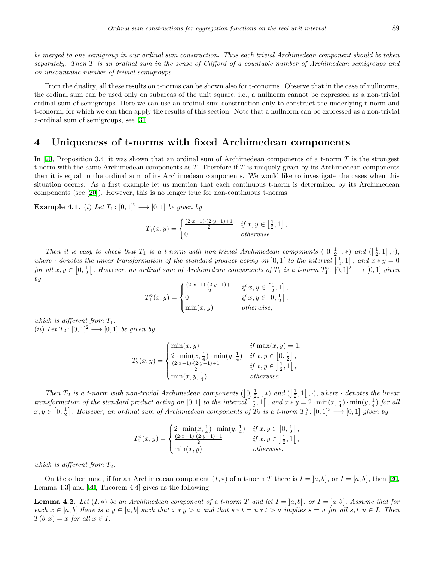*be merged to one semigroup in our ordinal sum construction. Thus each trivial Archimedean component should be taken separately. Then T is an ordinal sum in the sense of Clifford of a countable number of Archimedean semigroups and an uncountable number of trivial semigroups.*

From the duality, all these results on t-norms can be shown also for t-conorms. Observe that in the case of nullnorms, the ordinal sum can be used only on subareas of the unit square, i.e., a nullnorm cannot be expressed as a non-trivial ordinal sum of semigroups. Here we can use an ordinal sum construction only to construct the underlying t-norm and t-conorm, for which we can then apply the results of this section. Note that a nullnorm can be expressed as a non-trivial *z*-ordinal sum of semigroups, see [[31](#page-12-17)].

# <span id="page-6-0"></span>**4 Uniqueness of t-norms with fixed Archimedean components**

In [[20,](#page-12-15) Proposition 3.4] it was shown that an ordinal sum of Archimedean components of a t-norm *T* is the strongest t-norm with the same Archimedean components as *T.* Therefore if *T* is uniquely given by its Archimedean components then it is equal to the ordinal sum of its Archimedean components. We would like to investigate the cases when this situation occurs. As a first example let us mention that each continuous t-norm is determined by its Archimedean components (see [[20\]](#page-12-15)). However, this is no longer true for non-continuous t-norms.

**Example 4.1.** (*i*) *Let*  $T_1$ : [0,1]<sup>2</sup>  $\longrightarrow$  [0,1] *be given by* 

$$
T_1(x,y) = \begin{cases} \frac{(2 \cdot x - 1) \cdot (2 \cdot y - 1) + 1}{2} & \text{if } x, y \in \left[\frac{1}{2}, 1\right], \\ 0 & \text{otherwise.} \end{cases}
$$

*Then it is easy to check that*  $T_1$  *is a t-norm with non-trivial Archimedean components*  $([0, \frac{1}{2}], *)$  *and*  $([\frac{1}{2}, 1[, \cdot),$ where *·* denotes the linear transformation of the standard product acting on [0,1] to the interval  $\left[\frac{1}{2}, 1\right]$ , and  $\overline{x} * y = 0$ for all  $x, y \in [0, \frac{1}{2}[$ . However, an ordinal sum of Archimedean components of  $T_1$  is a t-norm  $T_1^{\diamond}$ :  $[0, 1]^2 \longrightarrow [0, 1]$  given *by*

$$
T_1^{\diamond}(x,y) = \begin{cases} \frac{(2 \cdot x - 1) \cdot (2 \cdot y - 1) + 1}{2} & \text{if } x, y \in \left[\frac{1}{2}, 1\right], \\ 0 & \text{if } x, y \in \left[0, \frac{1}{2}\right[, \\ \min(x,y) & \text{otherwise}, \end{cases}
$$

*which is different from*  $T_1$ *.*  $(ii) Let T_2: [0,1]^2 \longrightarrow [0,1] be given by$ 

$$
T_2(x,y) = \begin{cases} \min(x,y) & \text{if } \max(x,y) = 1, \\ 2 \cdot \min(x, \frac{1}{4}) \cdot \min(y, \frac{1}{4}) & \text{if } x, y \in [0, \frac{1}{2}], \\ \frac{(2 \cdot x - 1) \cdot (2 \cdot y - 1) + 1}{2} & \text{if } x, y \in [\frac{1}{2}, 1[, \\ \min(x, y, \frac{1}{4}) & \text{otherwise.} \end{cases}
$$

Then  $T_2$  is a t-norm with non-trivial Archimedean components  $(0, \frac{1}{2}], \ast)$  and  $(\frac{1}{2}, 1[, \cdot)$ , where  $\cdot$  denotes the linear transformation of the standard product acting on [0, 1] to the interval  $\frac{1}{2}$ , 1], and  $x * y = 2 \cdot \min(x, \frac{1}{4}) \cdot \min(y, \frac{1}{4})$  for all  $x, y \in [0, \frac{1}{2}]$ . However, an ordinal sum of Archimedean components of  $T_2$  is a t-norm  $T_2^{\diamond}$ :  $[0,1]^2 \longrightarrow [0,1]$  given by

$$
T_2^{\diamond}(x,y)=\begin{cases} 2\cdot\min(x,\frac{1}{4})\cdot\min(y,\frac{1}{4}) & \textit{if } x,y\in\left[0,\frac{1}{2}\right],\\ \frac{(2\cdot x-1)\cdot(2\cdot y-1)+1}{2} & \textit{if } x,y\in\left]\frac{1}{2},1\right[,\\ \min(x,y) & \textit{otherwise.} \end{cases}
$$

*which is different from*  $T_2$ *.* 

On the other hand, if for an Archimedean component  $(I, *)$  of a t-norm *T* there is  $I = [a, b]$ , or  $I = [a, b]$ , then [\[20](#page-12-15), Lemma 4.3] and [[20,](#page-12-15) Theorem 4.4] gives us the following.

<span id="page-6-1"></span>**Lemma 4.2.** Let  $(I, *)$  be an Archimedean component of a t-norm  $T$  and let  $I = [a, b]$ , or  $I = [a, b]$ . Assume that for each  $x \in [a, b]$  there is a  $y \in [a, b]$  such that  $x * y > a$  and that  $s * t = u * t > a$  implies  $s = u$  for all  $s, t, u \in I$ . Then  $T(b, x) = x$  *for all*  $x \in I$ .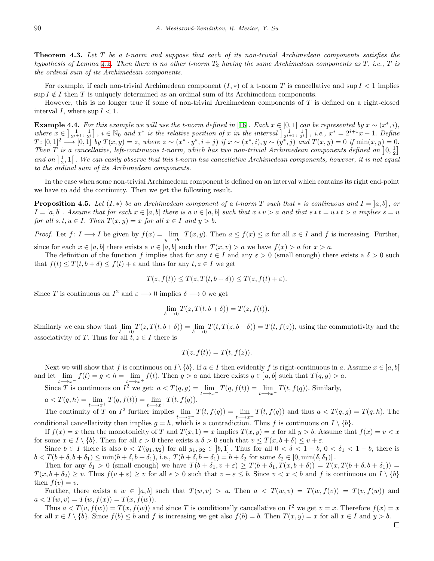**Theorem 4.3.** *Let T be a t-norm and suppose that each of its non-trivial Archimedean components satisfies the hypothesis of Lemma [4.2.](#page-6-1) Then there is no other t-norm T*<sup>2</sup> *having the same Archimedean components as T, i.e., T is the ordinal sum of its Archimedean components.*

For example, if each non-trivial Archimedean component  $(I, *)$  of a t-norm *T* is cancellative and sup  $I < 1$  implies  $\sup I \notin I$  then *T* is uniquely determined as an ordinal sum of its Archimedean components.

However, this is no longer true if some of non-trivial Archimedean components of *T* is defined on a right-closed interval *I*, where  $\sup I < 1$ .

**Example 4.4.** For this example we will use the t-norm defined in [\[16](#page-12-18)]. Each  $x \in [0,1]$  can be represented by  $x \sim (x^*, i)$ , where  $x \in \left[\frac{1}{2^{i+1}}, \frac{1}{2^i}\right]$ ,  $i \in \mathbb{N}_0$  and  $x^*$  is the relative position of x in the interval  $\left[\frac{1}{2^{i+1}}, \frac{1}{2^i}\right]$ , i.e.,  $x^* = 2^{i+1}x - 1$ . Define  $T: [0,1]^2 \longrightarrow [0,1]$  by  $T(x,y) = z$ , where  $z \sim (x^* \cdot y^*, i+j)$  if  $x \sim (x^*, i), y \sim (y^*, j)$  and  $T(x,y) = 0$  if  $\min(x,y) = 0$ . *Then*  $\overline{T}$  *is a cancellative, left-continuous t-norm, which has two non-trivial Archimedean components defined on*  $\left[0, \frac{1}{2}\right]$ and on  $\frac{1}{2}$ , 1. We can easily observe that this t-norm has cancellative Archimedean components, however, it is not equal *to the ordinal sum of its Archimedean components.*

In the case when some non-trivial Archimedean component is defined on an interval which contains its right end-point we have to add the continuity. Then we get the following result.

<span id="page-7-0"></span>**Proposition 4.5.** Let  $(I, *)$  be an Archimedean component of a t-norm T such that  $*$  is continuous and  $I = [a, b]$ , or  $I = [a, b]$ . Assume that for each  $x \in [a, b]$  there is a  $v \in [a, b]$  such that  $x * v > a$  and that  $s * t = u * t > a$  implies  $s = u$ *for all*  $s, t, u \in I$ . *Then*  $T(x, y) = x$  *for all*  $x \in I$  *and*  $y > b$ .

*Proof.* Let  $f: I \longrightarrow I$  be given by  $f(x) = \lim_{h \to 0}$ *y−→b*<sup>+</sup> *T*(*x, y*). Then  $a \le f(x) \le x$  for all  $x \in I$  and  $f$  is increasing. Further, since for each  $x \in [a, b]$  there exists a  $v \in [a, b]$  such that  $T(x, v) > a$  we have  $f(x) > a$  for  $x > a$ .

The definition of the function *f* implies that for any  $t \in I$  and any  $\varepsilon > 0$  (small enough) there exists a  $\delta > 0$  such that  $f(t) \leq T(t, b + \delta) \leq f(t) + \varepsilon$  and thus for any  $t, z \in I$  we get

$$
T(z, f(t)) \le T(z, T(t, b + \delta)) \le T(z, f(t) + \varepsilon).
$$

Since *T* is continuous on  $I^2$  and  $\varepsilon \longrightarrow 0$  implies  $\delta \longrightarrow 0$  we get

$$
\lim_{\delta \longrightarrow 0} T(z, T(t, b + \delta)) = T(z, f(t)).
$$

Similarly we can show that lim *δ−→*0  $T(z, T(t, b + \delta)) = \lim$ *δ−→*0  $T(t, T(z, b + \delta)) = T(t, f(z))$ , using the commutativity and the associativity of *T*. Thus for all  $t, z \in I$  there is

$$
T(z, f(t)) = T(t, f(z)).
$$

Next we will show that *f* is continuous on  $I \setminus \{b\}$ . If  $a \in I$  then evidently *f* is right-continuous in *a*. Assume  $x \in [a, b]$ and let lim  $f(t) = g < h = \lim$ *f*(*t*). Then  $g > a$  and there exists  $q \in [a, b]$  such that  $T(q, g) > a$ .

*t−→x<sup>−</sup> t−→x*<sup>+</sup> Since *T* is continuous on  $I^2$  we get:  $a < T(q, g) = \lim$ *t−→x<sup>−</sup>*  $T(q, f(t)) = \lim$ *t−→x<sup>−</sup>*  $T(t, f(q))$ . Similarly,  $a < T(q, h) = \lim$  $T(q, f(t)) = \lim$ *T*(*t, f*(*q*))*.*

*t−→x*<sup>+</sup> *t−→x*<sup>+</sup> The continuity of  $T$  on  $I^2$  further implies lim *t−→x<sup>−</sup>*  $T(t, f(q)) = \lim$ *t−→x*<sup>+</sup>  $T(t, f(q))$  and thus  $a < T(q, g) = T(q, h)$ . The conditional cancellativity then implies  $g = h$ , which is a contradiction. Thus f is continuous on  $I \setminus \{b\}$ .

If  $f(x) = x$  then the monotonicity of *T* and  $T(x, 1) = x$  implies  $T(x, y) = x$  for all  $y > b$ . Assume that  $f(x) = v < x$ for some  $x \in I \setminus \{b\}$ . Then for all  $\varepsilon > 0$  there exists a  $\delta > 0$  such that  $v \leq T(x, b + \delta) \leq v + \varepsilon$ .

Since  $b \in I$  there is also  $b < T(y_1, y_2)$  for all  $y_1, y_2 \in [b, 1]$ . Thus for all  $0 < \delta < 1 - b$ ,  $0 < \delta_1 < 1 - b$ , there is  $b < T(b + \delta, b + \delta_1) \le \min(b + \delta, b + \delta_1)$ , i.e.,  $T(b + \delta, b + \delta_1) = b + \delta_2$  for some  $\delta_2 \in [0, \min(\delta, \delta_1)]$ .

Then for any  $\delta_1 > 0$  (small enough) we have  $T(b + \delta_1, v + \varepsilon) \geq T(b + \delta_1, T(x, b + \delta)) = T(x, T(b + \delta, b + \delta_1)) =$  $T(x, b + \delta_2) \geq v$ . Thus  $f(v + \varepsilon) \geq v$  for all  $\epsilon > 0$  such that  $v + \varepsilon \leq b$ . Since  $v < x < b$  and f is continuous on  $I \setminus \{b\}$ then  $f(v) = v$ .

Further, there exists a  $w \in [a, b]$  such that  $T(w, v) > a$ . Then  $a < T(w, v) = T(w, f(v)) = T(v, f(w))$  and  $a < T(w, v) = T(w, f(x)) = T(x, f(w)).$ 

Thus  $a < T(v, f(w)) = T(x, f(w))$  and since *T* is conditionally cancellative on  $I^2$  we get  $v = x$ . Therefore  $f(x) = x$ for all  $x \in I \setminus \{b\}$ . Since  $f(b) \leq b$  and f is increasing we get also  $f(b) = b$ . Then  $T(x, y) = x$  for all  $x \in I$  and  $y > b$ .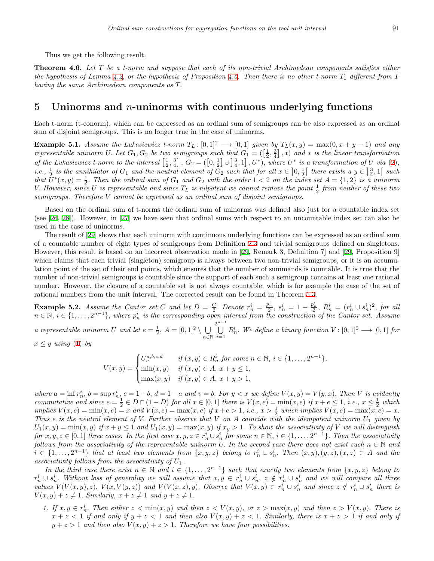Thus we get the following result.

**Theorem 4.6.** *Let T be a t-norm and suppose that each of its non-trivial Archimedean components satisfies either the hypothesis of Lemma [4.2,](#page-6-1) or the hypothesis of Proposition [4.5](#page-7-0). Then there is no other t-norm T*<sup>1</sup> *different from T having the same Archimedean components as T.*

### <span id="page-8-1"></span>**5 Uninorms and** *n***-uninorms with continuous underlying functions**

Each t-norm (t-conorm), which can be expressed as an ordinal sum of semigroups can be also expressed as an ordinal sum of disjoint semigroups. This is no longer true in the case of uninorms.

<span id="page-8-0"></span>**Example 5.1.** *Assume the Lukasiewicz t-norm*  $T_L$ : [0,1]<sup>2</sup>  $\longrightarrow$  [0,1] *given by*  $T_L(x,y) = \max(0, x+y-1)$  *and any representable uninorm U.* Let  $G_1, G_2$  be two semigroups such that  $G_1 = (\left[\frac{1}{2}, \frac{3}{4}\right], *)$  and  $*$  is the linear transformation of the Lukasiewicz t-norm to the interval  $\left[\frac{1}{2},\frac{3}{4}\right]$ ,  $G_2 = \left(\left[0,\frac{1}{2}\right]\cup\left[\frac{3}{4},1\right],U^*\right)$ , where  $U^*$  is a transformation of U via ([2\)](#page-3-1), *i.e.*,  $\frac{1}{2}$  *is the annihilator of*  $G_1$  *and the neutral element of*  $G_2$  *such that for all*  $x \in [0, \frac{1}{2}]$  *there exists a*  $y \in [\frac{3}{4}, 1]$  *such* that  $\bar{U}^*(x,y) = \frac{1}{2}$ . Then the ordinal sum of  $G_1$  and  $G_2$  with the order  $1 < 2$  on the index set  $A = \{1,2\}$  is a uninorm *V.* However, since U is representable and since  $T_L$  is nilpotent we cannot remove the point  $\frac{1}{2}$  from neither of these two *semigroups. Therefore V cannot be expressed as an ordinal sum of disjoint semigroups.*

Based on the ordinal sum of t-norms the ordinal sum of uninorms was defined also just for a countable index set (see [\[26](#page-12-19), [28\]](#page-12-20)). However, in [\[27](#page-12-21)] we have seen that ordinal sums with respect to an uncountable index set can also be used in the case of uninorms.

The result of [[29\]](#page-12-12) shows that each uninorm with continuous underlying functions can be expressed as an ordinal sum of a countable number of eight types of semigroups from Definition [2.3](#page-3-0) and trivial semigroups defined on singletons. However, this result is based on an incorrect observation made in [[29,](#page-12-12) Remark 3, Definition 7] and [[29](#page-12-12), Proposition 9] which claims that each trivial (singleton) semigroup is always between two non-trivial semigroups, or it is an accumulation point of the set of their end points, which ensures that the number of summands is countable. It is true that the number of non-trivial semigroups is countable since the support of each such a semigroup contains at least one rational number. However, the closure of a countable set is not always countable, which is for example the case of the set of rational numbers from the unit interval. The corrected result can be found in Theorem [5.3.](#page-9-0)

<span id="page-8-2"></span>**Example 5.2.** Assume the Cantor set C and let  $D = \frac{C}{2}$ . Denote  $r_n^i = \frac{p_n^i}{2}$ ,  $s_n^i = 1 - \frac{p_n^i}{2}$ ,  $R_n^i = (r_n^i \cup s_n^i)^2$ , for all  $n \in \mathbb{N}, i \in \{1, \ldots, 2^{n-1}\},$  where  $p_n^i$  is the corresponding open interval from the construction of the Cantor set. Assume *a* representable uninorm *U* and let  $e = \frac{1}{2}$ ,  $A = [0, 1]^2 \setminus \bigcup$ *n∈*N 2<sup>*n*−1</sup><br>  $\left| \begin{array}{c} \end{array} \right|$ *i*=1  $R_n^i$ *. We define a binary function*  $V: [0, 1]^2 \longrightarrow [0, 1]$  *for* 

 $x \leq y$  *using* ([1\)](#page-3-2) *by* 

$$
V(x,y) = \begin{cases} U_v^{a,b,c,d} & \text{if } (x,y) \in R_n^i \text{ for some } n \in \mathbb{N}, i \in \{1, \dots, 2^{n-1}\}, \\ \min(x,y) & \text{if } (x,y) \in A, x+y \le 1, \\ \max(x,y) & \text{if } (x,y) \in A, x+y > 1, \end{cases}
$$

where  $a = \inf r_n^i$ ,  $b = \sup r_n^i$ ,  $c = 1-b$ ,  $d = 1-a$  and  $v = b$ . For  $y < x$  we define  $V(x, y) = V(y, x)$ . Then V is evidently commutative and since  $e = \frac{1}{2} \in D \cap (1 - D)$  for all  $x \in [0, 1]$  there is  $V(x, e) = \min(x, e)$  if  $x + e \le 1$ , i.e.,  $x \le \frac{1}{2}$  which implies  $V(x, e) = min(x, e) = x$  and  $V(x, e) = max(x, e)$  if  $x + e > 1$ , i.e.,  $x > \frac{1}{2}$  which implies  $V(x, e) = max(x, e) = x$ . *Thus e is the neutral element of V. Further observe that V on A coincide with the idempotent uninorm U*<sup>1</sup> *given by*  $U_1(x,y) = \min(x,y)$  if  $x + y \le 1$  and  $U_1(x,y) = \max(x,y)$  if  $x_y > 1$ . To show the associativity of V we will distinguish for  $x, y, z \in [0,1]$  three cases. In the first case  $x, y, z \in r_n^i \cup s_n^i$  for some  $n \in \mathbb{N}$ ,  $i \in \{1, \ldots, 2^{n-1}\}$ . Then the associativity *follows from the associativity of the representable uninorm U.* In the second case there does not exist such  $n \in \mathbb{N}$  and  $i \in \{1,\ldots,2^{n-1}\}\$  that at least two elements from  $\{x,y,z\}$  belong to  $r_n^i \cup s_n^i$ . Then  $(x,y),(y,z),(x,z) \in A$  and the *associativity follows from the associativity of U*1*.*

*In the third case there exist*  $n \in \mathbb{N}$  *and*  $i \in \{1, ..., 2^{n-1}\}$  *such that exactly two elements from*  $\{x, y, z\}$  *belong to*  $r_n^i\cup s_n^i$ . Without loss of generality we will assume that  $x,y\,\in\,r_n^i\cup s_n^i,\;z\notin\,r_n^i\cup s_n^i\;$  and we will compare all three values  $V(V(x, y), z)$ ,  $V(x, V(y, z))$  and  $V(V(x, z), y)$ . Observe that  $V(x, y) \in r_n^i \cup s_n^i$  and since  $z \notin r_n^i \cup s_n^i$  there is  $V(x, y) + z \neq 1$ *. Similarly,*  $x + z \neq 1$  *and*  $y + z \neq 1$ *.* 

1. If  $x, y \in r_n^i$ . Then either  $z < \min(x, y)$  and then  $z < V(x, y)$ , or  $z > \max(x, y)$  and then  $z > V(x, y)$ . There is  $x + z < 1$  *if and only if*  $y + z < 1$  *and then also*  $V(x, y) + z < 1$ *. Similarly, there is*  $x + z > 1$  *if and only if*  $y + z > 1$  *and then also*  $V(x, y) + z > 1$ *. Therefore we have four possibilities.*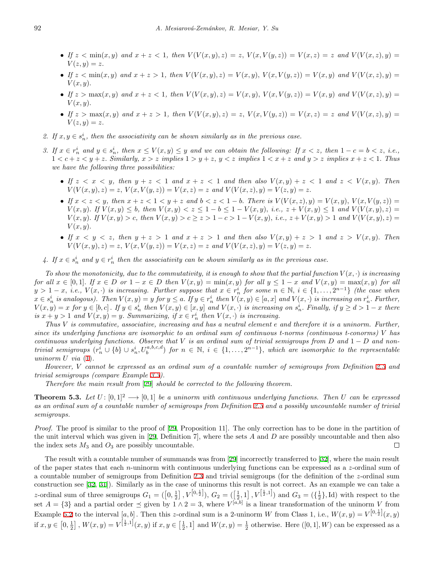- If  $z < \min(x, y)$  and  $x + z < 1$ , then  $V(V(x, y), z) = z$ ,  $V(x, V(y, z)) = V(x, z) = z$  and  $V(V(x, z), y) =$  $V(z, y) = z$ .
- If  $z < min(x, y)$  and  $x + z > 1$ , then  $V(V(x, y), z) = V(x, y), V(x, V(y, z)) = V(x, y)$  and  $V(V(x, z), y) = V(x, y)$  $V(x, y)$ .
- If  $z > \max(x, y)$  and  $x + z < 1$ , then  $V(V(x, y), z) = V(x, y), V(x, V(y, z)) = V(x, y)$  and  $V(V(x, z), y) = V(x, y)$  $V(x, y)$ .
- If  $z > \max(x, y)$  and  $x + z > 1$ , then  $V(V(x, y), z) = z$ ,  $V(x, V(y, z)) = V(x, z) = z$  and  $V(V(x, z), y) =$  $V(z, y) = z.$
- 2. If  $x, y \in s_n^i$ , then the associativity can be shown similarly as in the previous case.
- 3. If  $x \in r_n^i$  and  $y \in s_n^i$ , then  $x \le V(x, y) \le y$  and we can obtain the following: If  $x < z$ , then  $1 c = b < z$ , i.e.,  $1 < c+z < y+z$ . Similarly,  $x > z$  implies  $1 > y+z$ ,  $y < z$  implies  $1 < x+z$  and  $y > z$  implies  $x+z < 1$ . Thus *we have the following three possibilities:*
	- If  $z < x < y$ , then  $y + z < 1$  and  $x + z < 1$  and then also  $V(x, y) + z < 1$  and  $z < V(x, y)$ . Then  $V(V(x, y), z) = z$ ,  $V(x, V(y, z)) = V(x, z) = z$  and  $V(V(x, z), y) = V(z, y) = z$ .
	- If  $x < z < y$ , then  $x + z < 1 < y + z$  and  $b < z < 1-b$ . There is  $V(V(x, z), y) = V(x, y), V(x, V(y, z)) =$  $V(x, y)$ . If  $V(x, y) \leq b$ , then  $V(x, y) < z \leq 1 - b \leq 1 - V(x, y)$ , i.e.,  $z + V(x, y) \leq 1$  and  $V(V(x, y), z) =$  $V(x, y)$ . If  $V(x, y) > c$ , then  $V(x, y) > c \ge z > 1 - c > 1 - V(x, y)$ , i.e.,  $z + V(x, y) > 1$  and  $V(V(x, y), z) =$  $V(x, y)$ .
	- If  $x < y < z$ , then  $y + z > 1$  and  $x + z > 1$  and then also  $V(x, y) + z > 1$  and  $z > V(x, y)$ . Then  $V(V(x, y), z) = z$ ,  $V(x, V(y, z)) = V(x, z) = z$  and  $V(V(x, z), y) = V(z, y) = z$ .
- *4.* If  $x \in s_n^i$  and  $y \in r_n^i$  then the associativity can be shown similarly as in the previous case.

To show the monotonicity, due to the commutativity, it is enough to show that the partial function  $V(x, \cdot)$  is increasing for all  $x \in [0,1]$ . If  $x \in D$  or  $1-x \in D$  then  $V(x,y) = \min(x,y)$  for all  $y \leq 1-x$  and  $V(x,y) = \max(x,y)$  for all  $y > 1-x$ , i.e.,  $V(x, \cdot)$  is increasing. Further suppose that  $x \in r_n^i$  for some  $n \in \mathbb{N}$ ,  $i \in \{1, ..., 2^{n-1}\}$  (the case when  $x \in s_n^i$  is analogous). Then  $V(x, y) = y$  for  $y \le a$ . If  $y \in r_n^i$  then  $V(x, y) \in [a, x]$  and  $V(x, \cdot)$  is increasing on  $r_n^i$ . Further,  $V(x,y) = x$  for  $y \in [b,c]$ . If  $y \in s_n^i$  then  $V(x,y) \in [x,y]$  and  $V(x,\cdot)$  is increasing on  $s_n^i$ . Finally, if  $y \geq d > 1-x$  there *is*  $x + y > 1$  *and*  $V(x, y) = y$ . *Summarizing, if*  $x \in r_n^i$  *then*  $V(x, \cdot)$  *is increasing.* 

*Thus V is commutative, associative, increasing and has a neutral element e and therefore it is a uninorm. Further, since its underlying functions are isomorphic to an ordinal sum of continuous t-norms (continuous t-conorms) V has continuous underlying functions. Observe that V is an ordinal sum of trivial semigroups from D and* 1 *− D and non*trivial semigroups  $(r_n^i \cup \{b\} \cup s_n^i, U_b^{a,b,c,d})$  for  $n \in \mathbb{N}$ ,  $i \in \{1,\ldots,2^{n-1}\}$ , which are isomorphic to the representable *uninorm*  $U$  *via*  $(1)$  $(1)$ *.* 

*However, V cannot be expressed as an ordinal sum of a countable number of semigroups from Definition [2.3](#page-3-0) and trivial semigroups (compare Example [3.3](#page-5-0)).*

*Therefore the main result from* [[29\]](#page-12-12) *should be corrected to the following theorem.*

<span id="page-9-0"></span>**Theorem 5.3.** Let  $U: [0,1]^2 \longrightarrow [0,1]$  be a uninorm with continuous underlying functions. Then U can be expressed *as an ordinal sum of a countable number of semigroups from Definition [2.3](#page-3-0) and a possibly uncountable number of trivial semigroups.*

*Proof.* The proof is similar to the proof of [[29,](#page-12-12) Proposition 11]. The only correction has to be done in the partition of the unit interval which was given in [\[29](#page-12-12), Definition 7], where the sets *A* and *D* are possibly uncountable and then also the index sets  $M_3$  and  $O_3$  are possibly uncountable.  $\Box$ 

The result with a countable number of summands was from [\[29](#page-12-12)] incorrectly transferred to [\[32](#page-12-22)], where the main result of the paper states that each *n*-uninorm with continuous underlying functions can be expressed as a *z*-ordinal sum of a countable number of semigroups from Definition [2.3](#page-3-0) and trivial semigroups (for the definition of the *z*-ordinal sum construction see [\[32](#page-12-22), [31](#page-12-17)]). Similarly as in the case of uninorms this result is not correct. As an example we can take a z-ordinal sum of three semigroups  $G_1 = (\left[0, \frac{1}{2}\right], V^{\left[0, \frac{1}{2}\right]}, G_2 = (\left[\frac{1}{2}, 1\right], V^{\left[\frac{1}{2}, 1\right]})$  and  $G_3 = (\left\{\frac{1}{2}\right\}, \mathrm{Id})$  with respect to the set  $A = \{3\}$  and a partial order  $\preceq$  given by  $1 \wedge 2 = 3$ , where  $V^{[a,b]}$  is a linear transformation of the uninorm V from Example [5.2](#page-8-2) to the interval  $[a, b]$ . Then this *z*-ordinal sum is a 2-uninorm *W* from Class 1, i.e.,  $W(x, y) = V^{[0, \frac{1}{2}]}(x, y)$ if  $x, y \in [0, \frac{1}{2}]$ ,  $W(x, y) = V^{\left[\frac{1}{2}, 1\right]}(x, y)$  if  $x, y \in \left[\frac{1}{2}, 1\right]$  and  $W(x, y) = \frac{1}{2}$  otherwise. Here  $([0, 1], W)$  can be expressed as a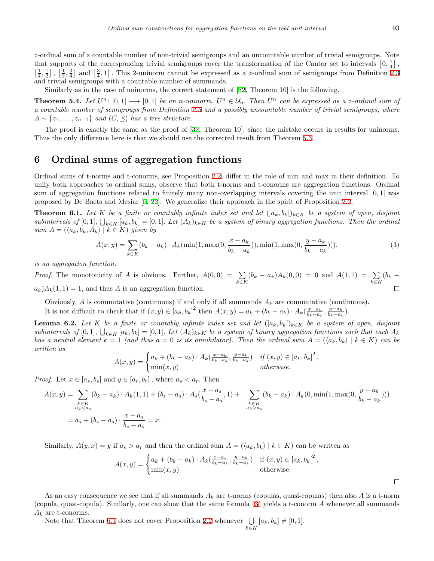*z*-ordinal sum of a countable number of non-trivial semigroups and an uncountable number of trivial semigroups. Note that supports of the corresponding trivial semigroups cover the transformation of the Cantor set to intervals  $[0, \frac{1}{4}]$ ,  $\left[\frac{1}{4},\frac{1}{2}\right]$ ,  $\left[\frac{1}{2},\frac{3}{4}\right]$  and  $\left[\frac{3}{4},1\right]$ . This 2-uninorm cannot be expressed as a *z*-ordinal sum of semigroups from Definition [2.3](#page-3-0) and trivial semigroups with a countable number of summands.

Similarly as in the case of uninorms, the correct statement of [\[32](#page-12-22), Theorem 10] is the following.

**Theorem 5.4.** Let  $U^n$ :  $[0,1] \longrightarrow [0,1]$  be an n-uninorm,  $U^n \in \mathcal{U}_n$ . Then  $U^n$  can be expressed as a z-ordinal sum of *a countable number of semigroups from Definition [2.3](#page-3-0) and a possibly uncountable number of trivial semigroups, where*  $A \sim \{z_1, \ldots, z_{n-1}\}\$  *and*  $(C, \preceq)$  *has a tree structure.* 

The proof is exactly the same as the proof of [[32,](#page-12-22) Theorem 10], since the mistake occurs in results for uninorms. Thus the only difference here is that we should use the corrected result from Theorem [5.3](#page-9-0).

# <span id="page-10-0"></span>**6 Ordinal sums of aggregation functions**

Ordinal sums of t-norms and t-conorms, see Proposition [2.2,](#page-2-1) differ in the role of min and max in their definition. To unify both approaches to ordinal sums, observe that both t-norms and t-conorms are aggregation functions. Ordinal sum of aggregation functions related to finitely many non-overlapping intervals covering the unit interval [0*,* 1] was proposed by De Baets and Mesiar [[6,](#page-11-1) [22](#page-12-6)]. We generalize their approach in the spirit of Proposition [2.2](#page-2-1).

<span id="page-10-2"></span>**Theorem 6.1.** Let K be a finite or countably infinite index set and let  $(|a_k, b_k|)_{k \in K}$  be a system of open, disjoint subintervals of  $[0,1]$ ,  $\bigcup_{k\in K} [a_k, b_k] = [0,1]$ . Let  $(A_k)_{k\in K}$  be a system of binary aggregation functions. Then the ordinal *sum*  $A = (\langle a_k, b_k, A_k \rangle \mid k \in K)$  *given by* 

<span id="page-10-1"></span>
$$
A(x,y) = \sum_{k \in K} (b_k - a_k) \cdot A_k(\min(1, \max(0, \frac{x - a_k}{b_k - a_k})), \min(1, \max(0, \frac{y - a_k}{b_k - a_k}))).
$$
\n(3)

*is an aggregation function.*

*Proof.* The monotonicity of *A* is obvious. Further,  $A(0,0) = \sum$  $(b_k - a_k)A_k(0,0) = 0$  and  $A(1,1) = \sum$ (*b<sup>k</sup> − k∈K k∈K*  $a_k$ ) $A_k(1,1) = 1$ , and thus *A* is an aggregation function.  $\Box$ 

Obviously,  $A$  is commutative (continuous) if and only if all summands  $A_k$  are commutative (continuous).

It is not difficult to check that if  $(x, y) \in [a_k, b_k]^2$  then  $A(x, y) = a_k + (b_k - a_k) \cdot A_k(\frac{x - a_k}{b_k - a_k}, \frac{y - a_k}{b_k - a_k})$ .

**Lemma 6.2.** *Let K be a finite or countably infinite index set and let*  $(|a_k, b_k|)_{k \in K}$  *be a system of open, disjoint* subintervals of [0, 1],  $\bigcup_{k \in K} [a_k, b_k] = [0, 1]$ . Let  $(A_k)_{k \in K}$  be a system of binary aggregation functions such that each  $A_k$ has a neutral element  $e = 1$  (and thus  $a = 0$  is its annihilator). Then the ordinal sum  $A = (\langle a_k, b_k \rangle \mid k \in K)$  can be *written as*

$$
A(x,y) = \begin{cases} a_k + (b_k - a_k) \cdot A_k(\frac{x - a_k}{b_k - a_k}, \frac{y - a_k}{b_k - a_k}) & \text{if } (x,y) \in [a_k, b_k]^2, \\ \min(x,y) & \text{otherwise.} \end{cases}
$$

*Proof.* Let  $x \in [a_s, b_s]$  and  $y \in [a_r, b_r]$ , where  $a_s < a_r$ . Then

$$
A(x,y) = \sum_{\substack{k \in K \\ a_k < a_s}} (b_k - a_k) \cdot A_k(1,1) + (b_s - a_s) \cdot A_s(\frac{x - a_s}{b_s - a_s}, 1) + \sum_{\substack{k \in K \\ a_k > a_s}} (b_k - a_k) \cdot A_k(0, \min(1, \max(0, \frac{y - a_k}{b_k - a_k})))
$$
\n
$$
= a_s + (b_s - a_s) \cdot \frac{x - a_s}{b_s - a_s} = x.
$$

Similarly,  $A(y, x) = y$  if  $a_s > a_r$  and then the ordinal sum  $A = (\langle a_k, b_k \rangle \mid k \in K)$  can be written as

$$
A(x,y) = \begin{cases} a_k + (b_k - a_k) \cdot A_k(\frac{x - a_k}{b_k - a_k}, \frac{y - a_k}{b_k - a_k}) & \text{if } (x,y) \in [a_k, b_k]^2, \\ \min(x,y) & \text{otherwise.} \end{cases}
$$

*k∈K*

As an easy consequence we see that if all summands *A<sup>k</sup>* are t-norms (copulas, quasi-copulas) then also *A* is a t-norm (copula, quasi-copula). Similarly, one can show that the same formula ([3](#page-10-1)) yields a t-conorm *A* whenever all summands  $A_k$  are t-conorms.

Note that Theorem [6.1](#page-10-2) does not cover Proposition [2.2](#page-2-1) whenever ∪  $[a_k, b_k] \neq [0, 1].$   $\Box$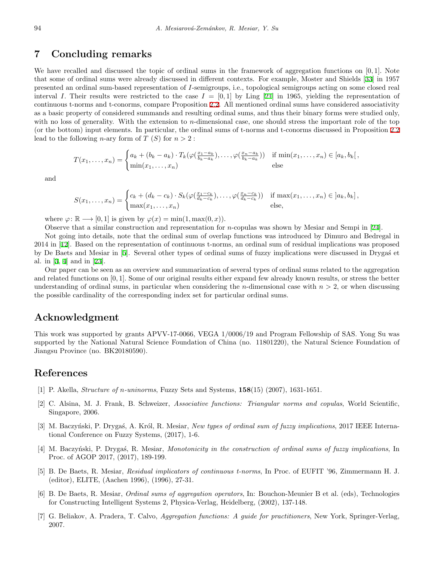# **7 Concluding remarks**

We have recalled and discussed the topic of ordinal sums in the framework of aggregation functions on [0*,* 1]*.* Note that some of ordinal sums were already discussed in different contexts. For example, Moster and Shields [[33\]](#page-13-3) in 1957 presented an ordinal sum-based representation of *I*-semigroups, i.e., topological semigroups acting on some closed real interval *I*. Their results were restricted to the case  $I = [0,1]$  by Ling [[21\]](#page-12-8) in 1965, yielding the representation of continuous t-norms and t-conorms, compare Proposition [2.2.](#page-2-1) All mentioned ordinal sums have considered associativity as a basic property of considered summands and resulting ordinal sums, and thus their binary forms were studied only, with no loss of generality. With the extension to *n*-dimensional case, one should stress the important role of the top (or the bottom) input elements. In particular, the ordinal sums of t-norms and t-conorms discussed in Proposition [2.2](#page-2-1) lead to the following *n*-ary form of  $T(S)$  for  $n > 2$ :

$$
T(x_1,\ldots,x_n) = \begin{cases} a_k + (b_k - a_k) \cdot T_k(\varphi(\frac{x_1 - a_k}{b_k - a_k}),\ldots,\varphi(\frac{x_n - a_k}{b_k - a_k})) & \text{if } \min(x_1,\ldots,x_n) \in [a_k, b_k], \\ \min(x_1,\ldots,x_n) & \text{else} \end{cases}
$$

and

$$
S(x_1,\ldots,x_n) = \begin{cases} c_k + (d_k - c_k) \cdot S_k(\varphi(\frac{x_1 - c_k}{d_k - c_k}),\ldots,\varphi(\frac{x_n - c_k}{d_k - c_k})) & \text{if } \max(x_1,\ldots,x_n) \in ]a_k, b_k],\\ \max(x_1,\ldots,x_n) & \text{else,} \end{cases}
$$

where  $\varphi \colon \mathbb{R} \longrightarrow [0,1]$  is given by  $\varphi(x) = \min(1, \max(0,x)).$ 

Observe that a similar construction and representation for *n*-copulas was shown by Mesiar and Sempi in [[24\]](#page-12-9).

Not going into details, note that the ordinal sum of overlap functions was introduced by Dimuro and Bedregal in 2014 in [[12\]](#page-12-23). Based on the representation of continuous t-norms, an ordinal sum of residual implications was proposed by De Baets and Mesiar in [\[5](#page-11-4)]. Several other types of ordinal sums of fuzzy implications were discussed in Drygas et al. in [[3,](#page-11-5) [4\]](#page-11-6) and in [\[23](#page-12-24)].

Our paper can be seen as an overview and summarization of several types of ordinal sums related to the aggregation and related functions on [0*,* 1]*.* Some of our original results either expand few already known results, or stress the better understanding of ordinal sums, in particular when considering the *n*-dimensional case with  $n > 2$ , or when discussing the possible cardinality of the corresponding index set for particular ordinal sums.

# **Acknowledgment**

This work was supported by grants APVV-17-0066, VEGA 1/0006/19 and Program Fellowship of SAS. Yong Su was supported by the National Natural Science Foundation of China (no. 11801220), the Natural Science Foundation of Jiangsu Province (no. BK20180590).

# **References**

- <span id="page-11-3"></span>[1] P. Akella, *Structure of n-uninorms*, Fuzzy Sets and Systems, **158**(15) (2007), 1631-1651.
- <span id="page-11-2"></span>[2] C. Alsina, M. J. Frank, B. Schweizer, *Associative functions: Triangular norms and copulas*, World Scientific, Singapore, 2006.
- <span id="page-11-5"></span>[3] M. Baczyński, P. Drygaś, A. Król, R. Mesiar, *New types of ordinal sum of fuzzy implications*, 2017 IEEE International Conference on Fuzzy Systems, (2017), 1-6.
- <span id="page-11-6"></span>[4] M. Baczyński, P. Drygaś, R. Mesiar, *Monotonicity in the construction of ordinal sums of fuzzy implications*, In Proc. of AGOP 2017, (2017), 189-199.
- <span id="page-11-4"></span>[5] B. De Baets, R. Mesiar, *Residual implicators of continuous t-norms*, In Proc. of EUFIT '96, Zimmermann H. J. (editor), ELITE, (Aachen 1996), (1996), 27-31.
- <span id="page-11-1"></span>[6] B. De Baets, R. Mesiar, *Ordinal sums of aggregation operators*, In: Bouchon-Meunier B et al. (eds), Technologies for Constructing Intelligent Systems 2, Physica-Verlag, Heidelberg, (2002), 137-148.
- <span id="page-11-0"></span>[7] G. Beliakov, A. Pradera, T. Calvo, *Aggregation functions: A guide for practitioners*, New York, Springer-Verlag, 2007.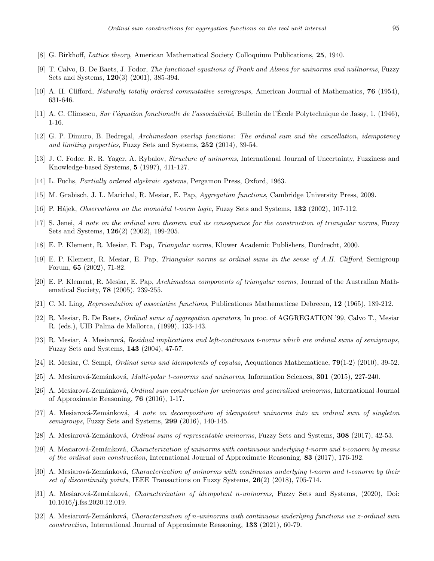- <span id="page-12-1"></span>[8] G. Birkhoff, *Lattice theory*, American Mathematical Society Colloquium Publications, **25**, 1940.
- <span id="page-12-14"></span>[9] T. Calvo, B. De Baets, J. Fodor, *The functional equations of Frank and Alsina for uninorms and nullnorms*, Fuzzy Sets and Systems, **120**(3) (2001), 385-394.
- <span id="page-12-2"></span>[10] A. H. Clifford, *Naturally totally ordered commutative semigroups*, American Journal of Mathematics, **76** (1954), 631-646.
- <span id="page-12-0"></span>[11] A. C. Climescu, *Sur l'´equation fonctionelle de l'associativit´e*, Bulletin de l'Ecole Polytechnique de Jassy, 1, (1946), ´ 1-16.
- <span id="page-12-23"></span>[12] G. P. Dimuro, B. Bedregal, *Archimedean overlap functions: The ordinal sum and the cancellation, idempotency and limiting properties*, Fuzzy Sets and Systems, **252** (2014), 39-54.
- <span id="page-12-10"></span>[13] J. C. Fodor, R. R. Yager, A. Rybalov, *Structure of uninorms*, International Journal of Uncertainty, Fuzziness and Knowledge-based Systems, **5** (1997), 411-127.
- <span id="page-12-3"></span>[14] L. Fuchs, *Partially ordered algebraic systems*, Pergamon Press, Oxford, 1963.
- <span id="page-12-4"></span>[15] M. Grabisch, J. L. Marichal, R. Mesiar, E. Pap, *Aggregation functions*, Cambridge University Press, 2009.
- <span id="page-12-18"></span>[16] P. H´ajek, *Observations on the monoidal t-norm logic*, Fuzzy Sets and Systems, **132** (2002), 107-112.
- <span id="page-12-16"></span>[17] S. Jenei, *A note on the ordinal sum theorem and its consequence for the construction of triangular norms*, Fuzzy Sets and Systems, **126**(2) (2002), 199-205.
- <span id="page-12-7"></span>[18] E. P. Klement, R. Mesiar, E. Pap, *Triangular norms*, Kluwer Academic Publishers, Dordrecht, 2000.
- <span id="page-12-5"></span>[19] E. P. Klement, R. Mesiar, E. Pap, *Triangular norms as ordinal sums in the sense of A.H. Clifford*, Semigroup Forum, **65** (2002), 71-82.
- <span id="page-12-15"></span>[20] E. P. Klement, R. Mesiar, E. Pap, *Archimedean components of triangular norms*, Journal of the Australian Mathematical Society, **78** (2005), 239-255.
- <span id="page-12-8"></span>[21] C. M. Ling, *Representation of associative functions*, Publicationes Mathematicae Debrecen, **12** (1965), 189-212.
- <span id="page-12-6"></span>[22] R. Mesiar, B. De Baets, *Ordinal sums of aggregation operators*, In proc. of AGGREGATION '99, Calvo T., Mesiar R. (eds.), UIB Palma de Mallorca, (1999), 133-143.
- <span id="page-12-24"></span>[23] R. Mesiar, A. Mesiarová, *Residual implications and left-continuous t-norms which are ordinal sums of semigroups*, Fuzzy Sets and Systems, **143** (2004), 47-57.
- <span id="page-12-9"></span>[24] R. Mesiar, C. Sempi, *Ordinal sums and idempotents of copulas*, Aequationes Mathematicae, **79**(1-2) (2010), 39-52.
- <span id="page-12-11"></span>[25] A. Mesiarov´a-Zem´ankov´a, *Multi-polar t-conorms and uninorms*, Information Sciences, **301** (2015), 227-240.
- <span id="page-12-19"></span>[26] A. Mesiarov´a-Zem´ankov´a, *Ordinal sum construction for uninorms and generalized uninorms*, International Journal of Approximate Reasoning, **76** (2016), 1-17.
- <span id="page-12-21"></span>[27] A. Mesiarov´a-Zem´ankov´a, *A note on decomposition of idempotent uninorms into an ordinal sum of singleton semigroups*, Fuzzy Sets and Systems, **299** (2016), 140-145.
- <span id="page-12-20"></span>[28] A. Mesiarov´a-Zem´ankov´a, *Ordinal sums of representable uninorms*, Fuzzy Sets and Systems, **308** (2017), 42-53.
- <span id="page-12-12"></span>[29] A. Mesiarov´a-Zem´ankov´a, *Characterization of uninorms with continuous underlying t-norm and t-conorm by means of the ordinal sum construction*, International Journal of Approximate Reasoning, **83** (2017), 176-192.
- <span id="page-12-13"></span>[30] A. Mesiarov´a-Zem´ankov´a, *Characterization of uninorms with continuous underlying t-norm and t-conorm by their set of discontinuity points*, IEEE Transactions on Fuzzy Systems, **26**(2) (2018), 705-714.
- <span id="page-12-17"></span>[31] A. Mesiarov´a-Zem´ankov´a, *Characterization of idempotent n-uninorms*, Fuzzy Sets and Systems, (2020), Doi: 10.1016/j.fss.2020.12.019.
- <span id="page-12-22"></span>[32] A. Mesiarov´a-Zem´ankov´a, *Characterization of n-uninorms with continuous underlying functions via z-ordinal sum construction*, International Journal of Approximate Reasoning, **133** (2021), 60-79.